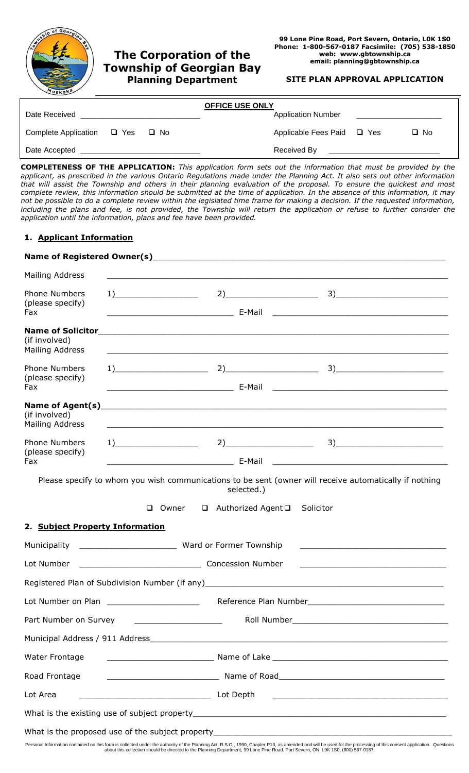

#### **SITE PLAN APPROVAL APPLICATION**

|                                           |  | <b>OFFICE USE ONLY</b>     |           |
|-------------------------------------------|--|----------------------------|-----------|
| Date Received                             |  | <b>Application Number</b>  |           |
| Complete Application $\Box$ Yes $\Box$ No |  | Applicable Fees Paid □ Yes | $\Box$ No |
| Date Accepted                             |  | Received By                |           |

**COMPLETENESS OF THE APPLICATION:** *This application form sets out the information that must be provided by the applicant, as prescribed in the various Ontario Regulations made under the Planning Act. It also sets out other information that will assist the Township and others in their planning evaluation of the proposal. To ensure the quickest and most complete review, this information should be submitted at the time of application. In the absence of this information, it may not be possible to do a complete review within the legislated time frame for making a decision. If the requested information, including the plans and fee, is not provided, the Township will return the application or refuse to further consider the application until the information, plans and fee have been provided.*

## **1. Applicant Information**

| Mailing Address                                                     |                                                                                                                  |                                                                                                                        |
|---------------------------------------------------------------------|------------------------------------------------------------------------------------------------------------------|------------------------------------------------------------------------------------------------------------------------|
| <b>Phone Numbers</b>                                                |                                                                                                                  | $2) \qquad \qquad 3) \qquad \qquad$                                                                                    |
| (please specify)<br>Fax                                             |                                                                                                                  |                                                                                                                        |
| <b>Name of Solicitor</b><br>(if involved)<br><b>Mailing Address</b> | and the control of the control of the control of the control of the control of the control of the control of the |                                                                                                                        |
| <b>Phone Numbers</b>                                                |                                                                                                                  | $1)$ $3)$                                                                                                              |
| (please specify)<br>Fax                                             |                                                                                                                  |                                                                                                                        |
| Name of Agent(s)                                                    |                                                                                                                  |                                                                                                                        |
| (if involved)<br>Mailing Address                                    |                                                                                                                  |                                                                                                                        |
| <b>Phone Numbers</b><br>(please specify)<br>Fax                     | $1)$ and $\overline{\phantom{a}1}$                                                                               | $\begin{array}{c} 3) \end{array}$                                                                                      |
|                                                                     |                                                                                                                  |                                                                                                                        |
|                                                                     | selected.)                                                                                                       | Please specify to whom you wish communications to be sent (owner will receive automatically if nothing                 |
|                                                                     |                                                                                                                  |                                                                                                                        |
|                                                                     | □ Authorized Agent □ Solicitor<br>$\Box$ Owner                                                                   |                                                                                                                        |
| 2. Subject Property Information                                     |                                                                                                                  |                                                                                                                        |
|                                                                     |                                                                                                                  | the control of the control of the control of the control of the control of the control of                              |
| Lot Number                                                          | Concession Number                                                                                                | <u> 1989 - Johann Barn, mars ann an t-Amhain an t-Amhain ann an t-Amhain an t-Amhain an t-Amhain an t-Amhain an t-</u> |
|                                                                     |                                                                                                                  | Registered Plan of Subdivision Number (if any) example and the state of the state of the state of the state of         |
| Lot Number on Plan ________________________                         |                                                                                                                  |                                                                                                                        |
|                                                                     | Part Number on Survey ________________________                                                                   |                                                                                                                        |
|                                                                     |                                                                                                                  | Municipal Address / 911 Address 2008 2009 2010 2020 2021 2022 2023 2024 2024 2022 2023 2024 2022 2023 2024 20          |
| Water Frontage                                                      |                                                                                                                  |                                                                                                                        |
| Road Frontage                                                       |                                                                                                                  |                                                                                                                        |
| Lot Area                                                            |                                                                                                                  |                                                                                                                        |
|                                                                     |                                                                                                                  |                                                                                                                        |
|                                                                     |                                                                                                                  |                                                                                                                        |

Personal Information contained on this form is collected under the authority of the Planning Act, R.S.O., 1990, Chapter P13, as amended and will be used for the processing of this consent application. Questions<br>about this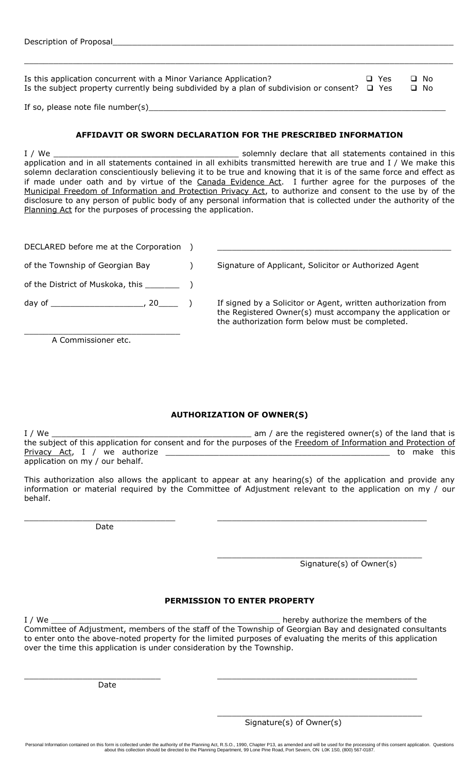| Is this application concurrent with a Minor Variance Application?                                  | $\Box$ Yes | ∩ No      |
|----------------------------------------------------------------------------------------------------|------------|-----------|
| Is the subject property currently being subdivided by a plan of subdivision or consent? $\Box$ Yes |            | $\Box$ No |
|                                                                                                    |            |           |

\_\_\_\_\_\_\_\_\_\_\_\_\_\_\_\_\_\_\_\_\_\_\_\_\_\_\_\_\_\_\_\_\_\_\_\_\_\_\_\_\_\_\_\_\_\_\_\_\_\_\_\_\_\_\_\_\_\_\_\_\_\_\_\_\_\_\_\_\_\_\_\_\_\_\_\_\_\_\_\_\_\_\_\_\_\_\_\_

If so, please note file number(s) $\equiv$ 

#### **AFFIDAVIT OR SWORN DECLARATION FOR THE PRESCRIBED INFORMATION**

I / We \_\_\_\_\_\_\_\_\_\_\_\_\_\_\_\_\_\_\_\_\_\_\_\_\_\_\_\_\_\_\_\_\_\_\_\_\_\_ solemnly declare that all statements contained in this application and in all statements contained in all exhibits transmitted herewith are true and I / We make this solemn declaration conscientiously believing it to be true and knowing that it is of the same force and effect as if made under oath and by virtue of the Canada Evidence Act. I further agree for the purposes of the Municipal Freedom of Information and Protection Privacy Act, to authorize and consent to the use by of the disclosure to any person of public body of any personal information that is collected under the authority of the Planning Act for the purposes of processing the application.

| DECLARED before me at the Corporation |  |                                                                                                                                                                               |
|---------------------------------------|--|-------------------------------------------------------------------------------------------------------------------------------------------------------------------------------|
| of the Township of Georgian Bay       |  | Signature of Applicant, Solicitor or Authorized Agent                                                                                                                         |
| of the District of Muskoka, this      |  |                                                                                                                                                                               |
| day of                                |  | If signed by a Solicitor or Agent, written authorization from<br>the Registered Owner(s) must accompany the application or<br>the authorization form below must be completed. |

A Commissioner etc.

\_\_\_\_\_\_\_\_\_\_\_\_\_\_\_\_\_\_\_\_\_\_\_\_\_\_\_\_\_\_\_\_

## **AUTHORIZATION OF OWNER(S)**

I / We **I** we am / are the registered owner(s) of the land that is the subject of this application for consent and for the purposes of the Freedom of Information and Protection of Privacy Act, I / we authorize \_\_\_\_\_\_\_\_\_\_\_\_\_\_\_\_\_\_\_\_\_\_\_\_\_\_\_\_\_\_\_\_\_\_\_\_\_\_\_\_\_\_\_\_\_\_ to make this application on my / our behalf.

This authorization also allows the applicant to appear at any hearing(s) of the application and provide any information or material required by the Committee of Adjustment relevant to the application on my / our behalf.

\_\_\_\_\_\_\_\_\_\_\_\_\_\_\_\_\_\_\_\_\_\_\_\_\_\_\_\_\_\_\_ \_\_\_\_\_\_\_\_\_\_\_\_\_\_\_\_\_\_\_\_\_\_\_\_\_\_\_\_\_\_\_\_\_\_\_\_\_\_\_\_\_\_\_

Date

Signature(s) of Owner(s)

\_\_\_\_\_\_\_\_\_\_\_\_\_\_\_\_\_\_\_\_\_\_\_\_\_\_\_\_\_\_\_\_\_\_\_\_\_\_\_\_\_\_

# **PERMISSION TO ENTER PROPERTY**

I / We \_\_\_\_\_\_\_\_\_\_\_\_\_\_\_\_\_\_\_\_\_\_\_\_\_\_\_\_\_\_\_\_\_\_\_\_\_\_\_\_\_\_\_\_\_\_\_ hereby authorize the members of the Committee of Adjustment, members of the staff of the Township of Georgian Bay and designated consultants to enter onto the above-noted property for the limited purposes of evaluating the merits of this application over the time this application is under consideration by the Township.

\_\_\_\_\_\_\_\_\_\_\_\_\_\_\_\_\_\_\_\_\_\_\_\_\_\_\_\_ \_\_\_\_\_\_\_\_\_\_\_\_\_\_\_\_\_\_\_\_\_\_\_\_\_\_\_\_\_\_\_\_\_\_\_\_\_\_\_\_\_

Date

Signature(s) of Owner(s)

\_\_\_\_\_\_\_\_\_\_\_\_\_\_\_\_\_\_\_\_\_\_\_\_\_\_\_\_\_\_\_\_\_\_\_\_\_\_\_\_\_\_

Personal Information contained on this form is collected under the authority of the Planning Act, R.S.O., 1990, Chapter P13, as amended and will be used for the processing of this consent application. Questions<br>about this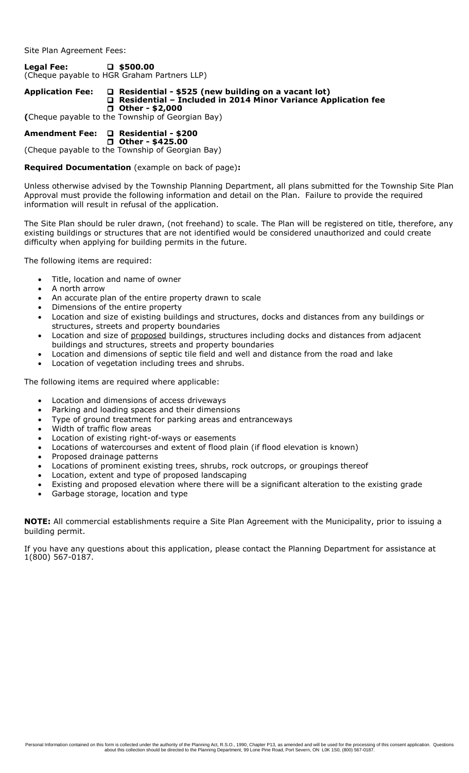Site Plan Agreement Fees:

**Legal Fee:** □ \$500.00 (Cheque payable to HGR Graham Partners LLP)

#### **Application Fee: Residential - \$525 (new building on a vacant lot) Residential – Included in 2014 Minor Variance Application fee Other - \$2,000**

**(**Cheque payable to the Township of Georgian Bay)

# **Amendment Fee: Residential - \$200**

 **Other - \$425.00**  (Cheque payable to the Township of Georgian Bay)

## **Required Documentation** (example on back of page)**:**

Unless otherwise advised by the Township Planning Department, all plans submitted for the Township Site Plan Approval must provide the following information and detail on the Plan. Failure to provide the required information will result in refusal of the application.

The Site Plan should be ruler drawn, (not freehand) to scale. The Plan will be registered on title, therefore, any existing buildings or structures that are not identified would be considered unauthorized and could create difficulty when applying for building permits in the future.

The following items are required:

- Title, location and name of owner
- A north arrow
- An accurate plan of the entire property drawn to scale
- Dimensions of the entire property
- Location and size of existing buildings and structures, docks and distances from any buildings or structures, streets and property boundaries
- Location and size of proposed buildings, structures including docks and distances from adjacent buildings and structures, streets and property boundaries
- Location and dimensions of septic tile field and well and distance from the road and lake
- Location of vegetation including trees and shrubs.

The following items are required where applicable:

- Location and dimensions of access driveways
- Parking and loading spaces and their dimensions
- Type of ground treatment for parking areas and entranceways
- Width of traffic flow areas
- Location of existing right-of-ways or easements
- Locations of watercourses and extent of flood plain (if flood elevation is known)
- Proposed drainage patterns
- Locations of prominent existing trees, shrubs, rock outcrops, or groupings thereof
- Location, extent and type of proposed landscaping
- Existing and proposed elevation where there will be a significant alteration to the existing grade
- Garbage storage, location and type

**NOTE:** All commercial establishments require a Site Plan Agreement with the Municipality, prior to issuing a building permit.

If you have any questions about this application, please contact the Planning Department for assistance at 1(800) 567-0187.